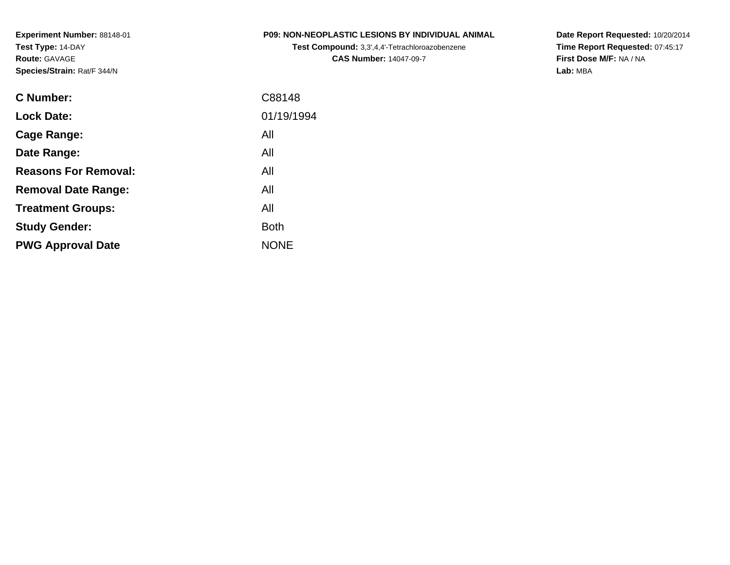**Experiment Number:** 88148-01**Test Type:** 14-DAY**Route:** GAVAGE**Species/Strain:** Rat/F 344/N

|  | <b>P09: NON-NEOPLASTIC LESIONS BY INDIVIDUAL ANIMAL</b> |  |  |  |
|--|---------------------------------------------------------|--|--|--|
|--|---------------------------------------------------------|--|--|--|

**Test Compound:** 3,3',4,4'-Tetrachloroazobenzene**CAS Number:** 14047-09-7

**Date Report Requested:** 10/20/2014 **Time Report Requested:** 07:45:17**First Dose M/F:** NA / NA**Lab:** MBA

| <b>C</b> Number:            | C88148      |
|-----------------------------|-------------|
| <b>Lock Date:</b>           | 01/19/1994  |
| Cage Range:                 | All         |
| Date Range:                 | All         |
| <b>Reasons For Removal:</b> | All         |
| <b>Removal Date Range:</b>  | All         |
| <b>Treatment Groups:</b>    | All         |
| <b>Study Gender:</b>        | <b>Both</b> |
| <b>PWG Approval Date</b>    | <b>NONE</b> |
|                             |             |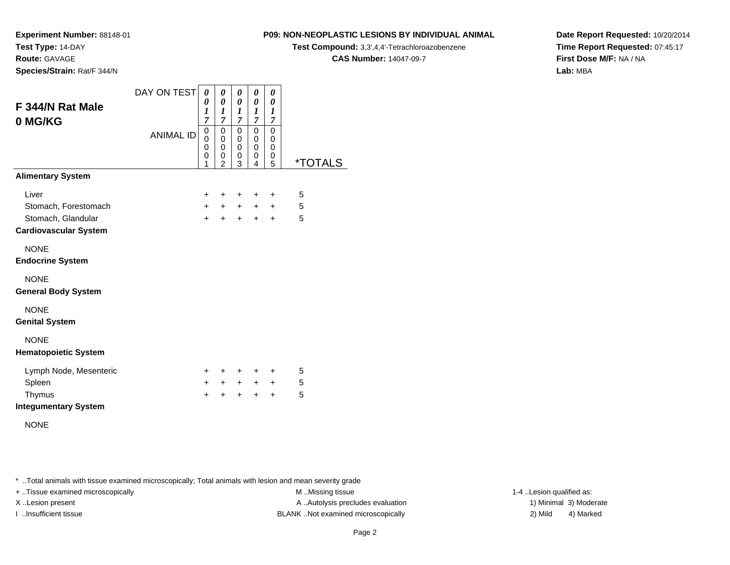**Route:** GAVAGE

**Species/Strain:** Rat/F 344/N

#### **P09: NON-NEOPLASTIC LESIONS BY INDIVIDUAL ANIMAL**

**Test Compound:** 3,3',4,4'-Tetrachloroazobenzene

**CAS Number:** 14047-09-7

**Date Report Requested:** 10/20/2014**Time Report Requested:** 07:45:17**First Dose M/F:** NA / NA**Lab:** MBA

| F 344/N Rat Male<br>0 MG/KG                        | DAY ON TEST<br><b>ANIMAL ID</b> | 0<br>0<br>$\boldsymbol{l}$<br>$\overline{7}$<br>0<br>0<br>0<br>$\mathbf 0$<br>1 | 0<br>$\boldsymbol{\theta}$<br>$\boldsymbol{l}$<br>7<br>$\mathbf 0$<br>$\mathbf 0$<br>$\mathbf 0$<br>0<br>$\overline{2}$ | 0<br>0<br>$\boldsymbol{l}$<br>7<br>$\mathbf 0$<br>0<br>0<br>0<br>3 | 0<br>0<br>$\boldsymbol{l}$<br>7<br>0<br>0<br>0<br>0<br>4 | 0<br>0<br>$\boldsymbol{l}$<br>$\overline{7}$<br>$\mathbf 0$<br>0<br>$\mathbf 0$<br>0<br>5 | <i><b>*TOTALS</b></i> |
|----------------------------------------------------|---------------------------------|---------------------------------------------------------------------------------|-------------------------------------------------------------------------------------------------------------------------|--------------------------------------------------------------------|----------------------------------------------------------|-------------------------------------------------------------------------------------------|-----------------------|
| <b>Alimentary System</b>                           |                                 |                                                                                 |                                                                                                                         |                                                                    |                                                          |                                                                                           |                       |
| Liver                                              |                                 | $\pm$                                                                           | $\ddot{}$                                                                                                               | $\ddot{}$                                                          | $\ddot{}$                                                | +                                                                                         | 5                     |
| Stomach, Forestomach                               |                                 | $+$                                                                             | $+$                                                                                                                     | $+$                                                                | $+$                                                      | $\ddot{}$                                                                                 | 5                     |
| Stomach, Glandular<br><b>Cardiovascular System</b> |                                 | $+$                                                                             | $\ddot{}$                                                                                                               | $\ddot{}$                                                          | $\ddot{}$                                                | $\ddot{}$                                                                                 | 5                     |
| <b>NONE</b><br><b>Endocrine System</b>             |                                 |                                                                                 |                                                                                                                         |                                                                    |                                                          |                                                                                           |                       |
| <b>NONE</b><br><b>General Body System</b>          |                                 |                                                                                 |                                                                                                                         |                                                                    |                                                          |                                                                                           |                       |
| <b>NONE</b><br><b>Genital System</b>               |                                 |                                                                                 |                                                                                                                         |                                                                    |                                                          |                                                                                           |                       |
| <b>NONE</b><br><b>Hematopoietic System</b>         |                                 |                                                                                 |                                                                                                                         |                                                                    |                                                          |                                                                                           |                       |
| Lymph Node, Mesenteric                             |                                 | $\pm$                                                                           | $\pm$                                                                                                                   | $+$                                                                | $+$                                                      | $\pm$                                                                                     | 5                     |
| Spleen                                             |                                 | $+$                                                                             | $+$                                                                                                                     | $+$                                                                | $+$                                                      | $\pm$                                                                                     | 5                     |
| Thymus<br><b>Integumentary System</b>              |                                 | $\ddot{}$                                                                       | +                                                                                                                       | +                                                                  | $\ddot{}$                                                | $\ddot{}$                                                                                 | 5                     |

NONE

\* ..Total animals with tissue examined microscopically; Total animals with lesion and mean severity grade

+ ..Tissue examined microscopically examined microscopically examined as:  $M$  ..Missing tissue 1-4 ..Lesion qualified as:

X..Lesion present **A ..Autolysis precludes evaluation** A ..Autolysis precludes evaluation 1) Minimal 3) Moderate I ..Insufficient tissue BLANK ..Not examined microscopically 2) Mild 4) Marked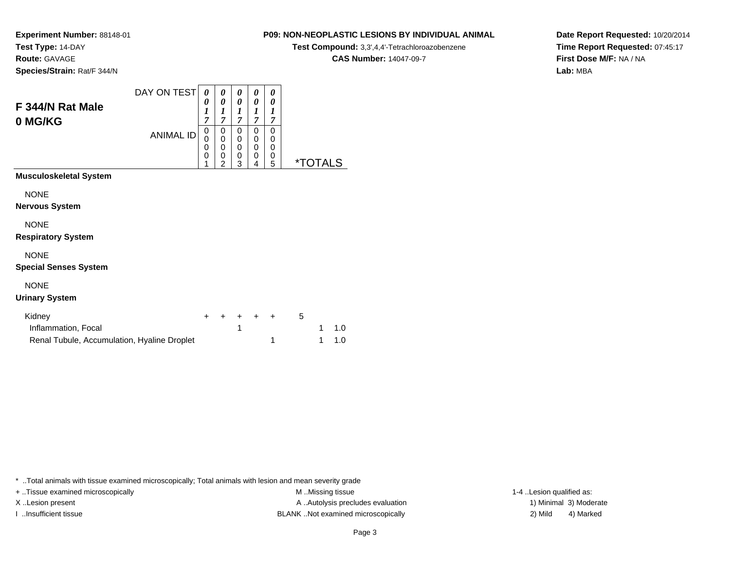**Route:** GAVAGE

**Species/Strain:** Rat/F 344/N

### **P09: NON-NEOPLASTIC LESIONS BY INDIVIDUAL ANIMAL**

**Test Compound:** 3,3',4,4'-Tetrachloroazobenzene

**CAS Number:** 14047-09-7

**Date Report Requested:** 10/20/2014**Time Report Requested:** 07:45:17**First Dose M/F:** NA / NA**Lab:** MBA

| F 344/N Rat Male<br>0 MG/KG                                           | DAY ON TEST      | 0<br>0<br>$\boldsymbol{l}$<br>7 | 0<br>0<br>$\boldsymbol{l}$<br>$\overline{7}$ | 0<br>0<br>1<br>$\overline{\tau}$ | 0<br>0<br>1<br>$\overline{7}$ | 0<br>0<br>1<br>7      |                       |
|-----------------------------------------------------------------------|------------------|---------------------------------|----------------------------------------------|----------------------------------|-------------------------------|-----------------------|-----------------------|
|                                                                       | <b>ANIMAL ID</b> | 0<br>0<br>0<br>0<br>1           | 0<br>0<br>0<br>0<br>2                        | 0<br>0<br>0<br>0<br>3            | 0<br>0<br>0<br>0<br>4         | 0<br>0<br>0<br>0<br>5 | <i><b>*TOTALS</b></i> |
| <b>Musculoskeletal System</b><br><b>NONE</b><br><b>Nervous System</b> |                  |                                 |                                              |                                  |                               |                       |                       |
| <b>NONE</b><br><b>Respiratory System</b>                              |                  |                                 |                                              |                                  |                               |                       |                       |
| <b>NONE</b><br><b>Special Senses System</b>                           |                  |                                 |                                              |                                  |                               |                       |                       |

### NONE

#### **Urinary System**

| Kidney                                      |  | + + + + + |  |  |       |
|---------------------------------------------|--|-----------|--|--|-------|
| Inflammation, Focal                         |  |           |  |  | 1 1 0 |
| Renal Tubule, Accumulation, Hyaline Droplet |  |           |  |  | 1 1.0 |

\* ..Total animals with tissue examined microscopically; Total animals with lesion and mean severity grade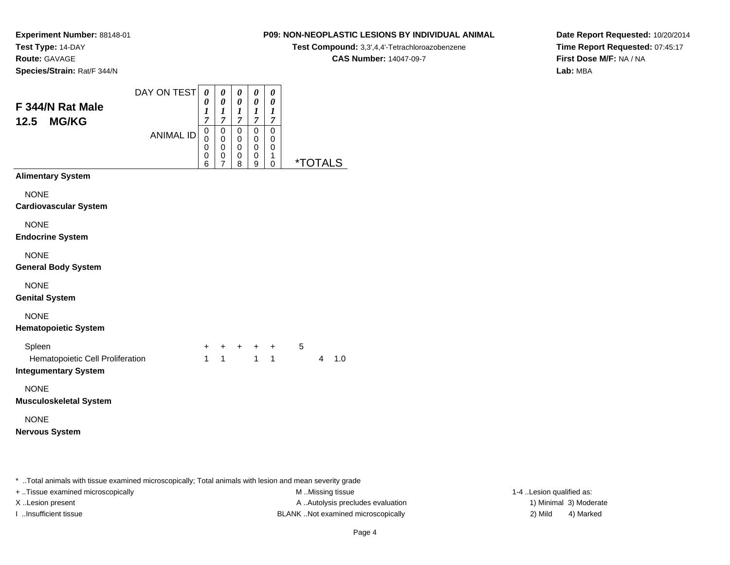**Route:** GAVAGE

**Species/Strain:** Rat/F 344/N

#### **P09: NON-NEOPLASTIC LESIONS BY INDIVIDUAL ANIMAL**

**Test Compound:** 3,3',4,4'-Tetrachloroazobenzene

**CAS Number:** 14047-09-7

**Date Report Requested:** 10/20/2014**Time Report Requested:** 07:45:17**First Dose M/F:** NA / NA**Lab:** MBA

| F 344/N Rat Male                                                                                     | DAY ON TEST      | 0<br>0                | 0<br>0                                       | 0<br>0                                 | 0<br>0                                 | 0<br>0                               |   |                       |     |
|------------------------------------------------------------------------------------------------------|------------------|-----------------------|----------------------------------------------|----------------------------------------|----------------------------------------|--------------------------------------|---|-----------------------|-----|
| 12.5<br><b>MG/KG</b>                                                                                 |                  | 1<br>7                | 1<br>$\overline{7}$                          | 1<br>$\boldsymbol{7}$                  | 1<br>$\boldsymbol{7}$                  | $\boldsymbol{l}$<br>$\boldsymbol{7}$ |   |                       |     |
|                                                                                                      | <b>ANIMAL ID</b> | 0<br>0<br>0<br>0<br>6 | $\mathbf 0$<br>0<br>0<br>0<br>$\overline{7}$ | $\Omega$<br>0<br>$\mathbf 0$<br>0<br>8 | $\Omega$<br>0<br>$\mathbf 0$<br>0<br>9 | 0<br>0<br>0<br>1<br>0                |   | <i><b>*TOTALS</b></i> |     |
| <b>Alimentary System</b>                                                                             |                  |                       |                                              |                                        |                                        |                                      |   |                       |     |
| <b>NONE</b><br><b>Cardiovascular System</b>                                                          |                  |                       |                                              |                                        |                                        |                                      |   |                       |     |
| <b>NONE</b><br><b>Endocrine System</b>                                                               |                  |                       |                                              |                                        |                                        |                                      |   |                       |     |
| <b>NONE</b><br><b>General Body System</b>                                                            |                  |                       |                                              |                                        |                                        |                                      |   |                       |     |
| <b>NONE</b><br><b>Genital System</b>                                                                 |                  |                       |                                              |                                        |                                        |                                      |   |                       |     |
| <b>NONE</b><br><b>Hematopoietic System</b>                                                           |                  |                       |                                              |                                        |                                        |                                      |   |                       |     |
| Spleen<br>Hematopoietic Cell Proliferation<br><b>Integumentary System</b>                            |                  | +<br>$\mathbf{1}$     | +<br>1                                       | +                                      | $\mathbf{1}$                           | +<br>1                               | 5 | 4                     | 1.0 |
| <b>NONE</b><br><b>Musculoskeletal System</b>                                                         |                  |                       |                                              |                                        |                                        |                                      |   |                       |     |
| <b>NONE</b><br><b>Nervous System</b>                                                                 |                  |                       |                                              |                                        |                                        |                                      |   |                       |     |
| Total animals with tissue examined microscopically: Total animals with lesion and mean severity grac |                  |                       |                                              |                                        |                                        |                                      |   |                       |     |

..Total animals with tissue examined microscopically; Total animals with lesion and mean severity grade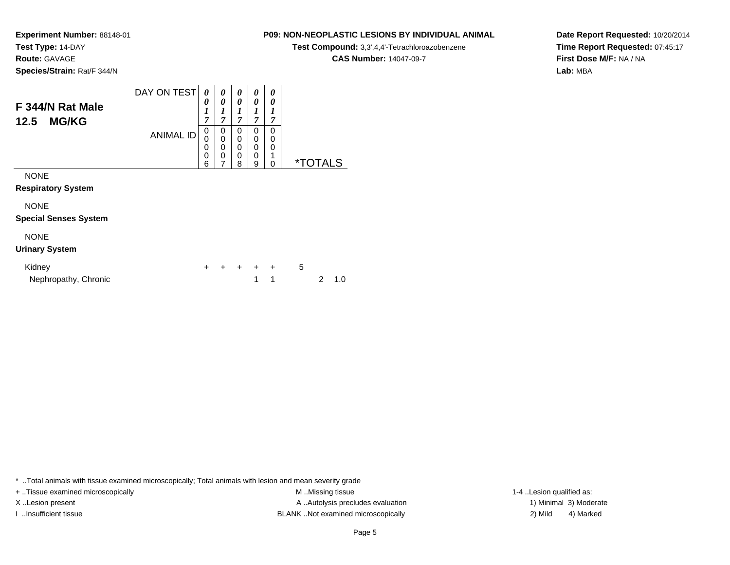**Route:** GAVAGE

**Species/Strain:** Rat/F 344/N

#### **P09: NON-NEOPLASTIC LESIONS BY INDIVIDUAL ANIMAL**

**Test Compound:** 3,3',4,4'-Tetrachloroazobenzene

**CAS Number:** 14047-09-7

**Date Report Requested:** 10/20/2014**Time Report Requested:** 07:45:17**First Dose M/F:** NA / NA**Lab:** MBA

| F 344/N Rat Male<br><b>MG/KG</b><br>12.5    | DAY ON TEST      | 0<br>0<br>$\mathbf{I}$<br>⊥<br>7 | 0<br>0<br>1<br>7 | 0<br>0<br>7           | 0<br>0<br>1<br>7      | 0<br>0<br>1<br>7             |                       |
|---------------------------------------------|------------------|----------------------------------|------------------|-----------------------|-----------------------|------------------------------|-----------------------|
|                                             | <b>ANIMAL ID</b> | 0<br>0<br>0<br>0<br>6            | 0<br>0<br>0<br>0 | 0<br>0<br>0<br>0<br>8 | 0<br>0<br>0<br>0<br>9 | 0<br>0<br>0<br>1<br>$\Omega$ | <i><b>*TOTALS</b></i> |
| <b>NONE</b><br><b>Respiratory System</b>    |                  |                                  |                  |                       |                       |                              |                       |
| <b>NONE</b><br><b>Special Senses System</b> |                  |                                  |                  |                       |                       |                              |                       |
| <b>NONE</b><br><b>Urinary System</b>        |                  |                                  |                  |                       |                       |                              |                       |

| Kidney               |  |  | + + + + + 5 |       |
|----------------------|--|--|-------------|-------|
| Nephropathy, Chronic |  |  |             | 2 1.0 |

\* ..Total animals with tissue examined microscopically; Total animals with lesion and mean severity grade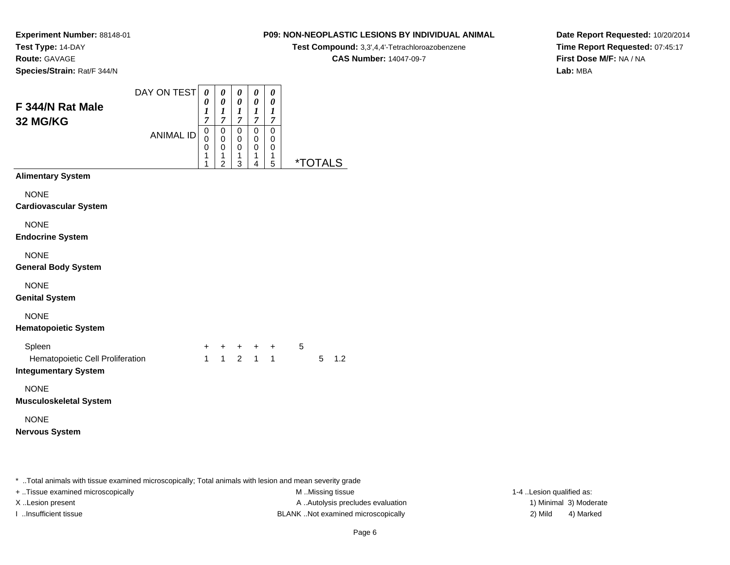**Experiment Number:** 88148-01**Test Type:** 14-DAY**Route:** GAVAGE

# **Species/Strain:** Rat/F 344/N

#### DAY ON TEST**F 344/N Rat Male32 MG/KG**ANIMAL ID*0 0 1 7* 0 0 0*0 0 1 7*0<br>0<br>0<br>1 *0 0 1 7* 0 0 0*0 0 1 7* 0 0 0*0 0 1 7* 0 00<br>1<br>=

 11

2

 13  14

5 \*TOTALS

**Alimentary System**

**NONE** 

**Cardiovascular System**

NONE

**Endocrine System**

NONE

**General Body System**

NONE

**Genital System**

NONE

#### **Hematopoietic System**

| Spleen                           |  | + + + + + |  |  |           |
|----------------------------------|--|-----------|--|--|-----------|
| Hematopoietic Cell Proliferation |  | 1 1 2 1 1 |  |  | $5 \t1.2$ |
| Integumentary System             |  |           |  |  |           |

#### **Integumentary System**

NONE

**Musculoskeletal System**

NONE

**Nervous System**

\* ..Total animals with tissue examined microscopically; Total animals with lesion and mean severity grade

+ ..Tissue examined microscopically examined microscopically examined as:  $M$  ..Missing tissue 1-4 ..Lesion qualified as: X..Lesion present **A ..**Autolysis precludes evaluation A ..Autolysis precludes evaluation 1) Minimal 3) Moderate I ..Insufficient tissue BLANK ..Not examined microscopically 2) Mild 4) Marked

#### Page 6

**Date Report Requested:** 10/20/2014**Time Report Requested:** 07:45:17**First Dose M/F:** NA / NA**Lab:** MBA

#### **P09: NON-NEOPLASTIC LESIONS BY INDIVIDUAL ANIMAL**

**Test Compound:** 3,3',4,4'-Tetrachloroazobenzene

**CAS Number:** 14047-09-7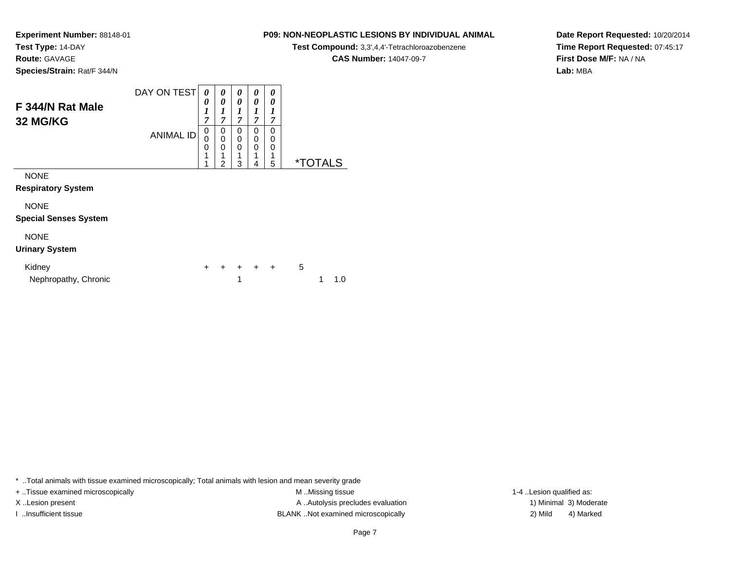**Route:** GAVAGE

**Species/Strain:** Rat/F 344/N

### **P09: NON-NEOPLASTIC LESIONS BY INDIVIDUAL ANIMAL**

**Test Compound:** 3,3',4,4'-Tetrachloroazobenzene

**CAS Number:** 14047-09-7

**Date Report Requested:** 10/20/2014**Time Report Requested:** 07:45:17**First Dose M/F:** NA / NA**Lab:** MBA

| F 344/N Rat Male<br><b>32 MG/KG</b>         | DAY ON TEST      | 0<br>0<br>1<br>7      | 0<br>0<br>1<br>7                   | 0<br>0<br>1<br>7      | 0<br>0<br>7      | 0<br>0<br>1<br>7        |                       |
|---------------------------------------------|------------------|-----------------------|------------------------------------|-----------------------|------------------|-------------------------|-----------------------|
|                                             | <b>ANIMAL ID</b> | 0<br>0<br>0<br>1<br>1 | 0<br>0<br>0<br>1<br>$\overline{2}$ | 0<br>0<br>0<br>1<br>3 | 0<br>0<br>0<br>4 | $\Omega$<br>0<br>0<br>5 | <i><b>*TOTALS</b></i> |
| <b>NONE</b><br><b>Respiratory System</b>    |                  |                       |                                    |                       |                  |                         |                       |
| <b>NONE</b><br><b>Special Senses System</b> |                  |                       |                                    |                       |                  |                         |                       |
| <b>NONE</b><br><b>Urinary System</b>        |                  |                       |                                    |                       |                  |                         |                       |

| Kidnev               |  |  | + + + + + 5 |  |               |
|----------------------|--|--|-------------|--|---------------|
| Nephropathy, Chronic |  |  |             |  | $1 \quad 1.0$ |

\* ..Total animals with tissue examined microscopically; Total animals with lesion and mean severity grade

+ ..Tissue examined microscopically examined microscopically examined as:  $M$  ..Missing tissue 1-4 ..Lesion qualified as:

X..Lesion present **A ..Autolysis precludes evaluation** A ..Autolysis precludes evaluation 1) Minimal 3) Moderate I ..Insufficient tissue BLANK ..Not examined microscopically 2) Mild 4) Marked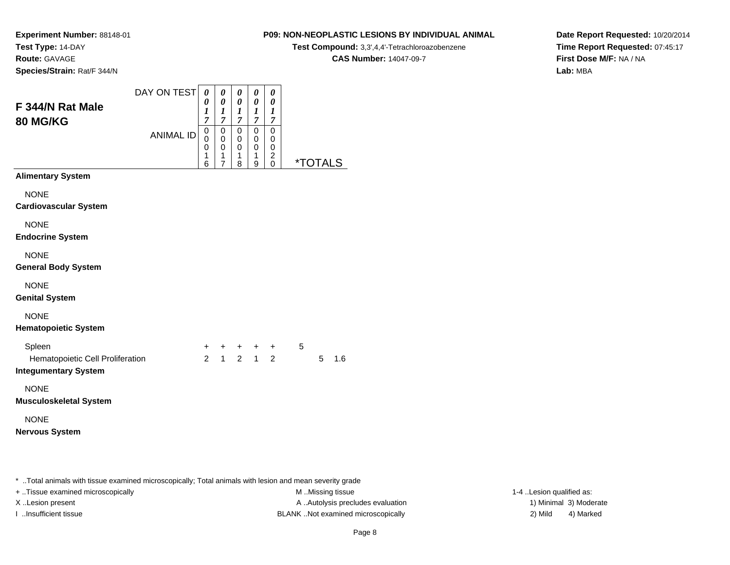# **Route:** GAVAGE

**Species/Strain:** Rat/F 344/N

#### **P09: NON-NEOPLASTIC LESIONS BY INDIVIDUAL ANIMAL**

**Test Compound:** 3,3',4,4'-Tetrachloroazobenzene

**CAS Number:** 14047-09-7

**Date Report Requested:** 10/20/2014**Time Report Requested:** 07:45:17**First Dose M/F:** NA / NA**Lab:** MBA

| F 344/N Rat Male<br><b>80 MG/KG</b>       | DAY ON TEST      | 0<br>0<br>$\boldsymbol{l}$<br>7 | 0<br>0<br>1<br>7      | 0<br>0<br>1<br>7      | 0<br>0<br>1<br>$\overline{7}$ | 0<br>0<br>1<br>7                                    |                       |
|-------------------------------------------|------------------|---------------------------------|-----------------------|-----------------------|-------------------------------|-----------------------------------------------------|-----------------------|
|                                           | <b>ANIMAL ID</b> | 0<br>0<br>0<br>1<br>6           | 0<br>0<br>0<br>1<br>7 | 0<br>0<br>0<br>1<br>8 | 0<br>0<br>0<br>1<br>9         | 0<br>0<br>$\mathbf 0$<br>$\overline{c}$<br>$\Omega$ | <i><b>*TOTALS</b></i> |
| <b>Alimentary System</b>                  |                  |                                 |                       |                       |                               |                                                     |                       |
| <b>NONE</b>                               |                  |                                 |                       |                       |                               |                                                     |                       |
| <b>Cardiovascular System</b>              |                  |                                 |                       |                       |                               |                                                     |                       |
| <b>NONE</b><br><b>Endocrine System</b>    |                  |                                 |                       |                       |                               |                                                     |                       |
| <b>NONE</b><br><b>General Body System</b> |                  |                                 |                       |                       |                               |                                                     |                       |

NONE

**Genital System**

NONE

#### **Hematopoietic System**

| Spleen                           |  |           | + + + + + |  |       |
|----------------------------------|--|-----------|-----------|--|-------|
| Hematopoietic Cell Proliferation |  | 2 1 2 1 2 |           |  | 5 1.6 |
| Integumentary System             |  |           |           |  |       |

#### **Integumentary System**

NONE

**Musculoskeletal System**

NONE

**Nervous System**

\* ..Total animals with tissue examined microscopically; Total animals with lesion and mean severity grade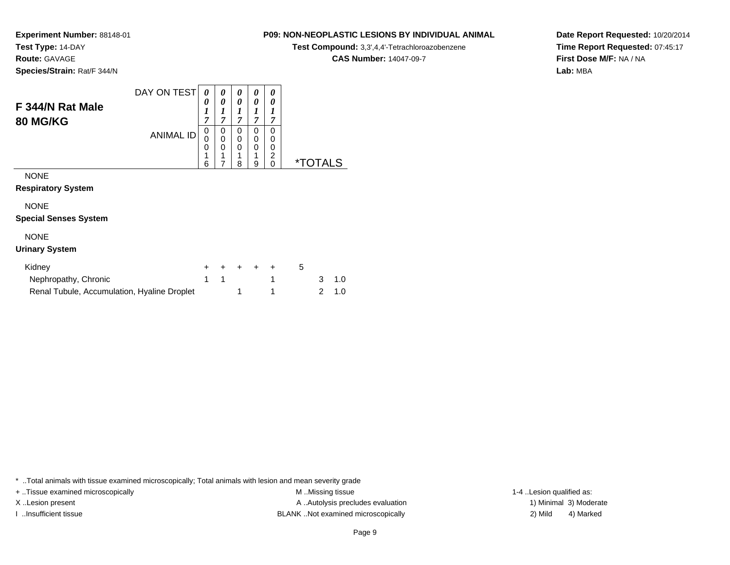**Route:** GAVAGE

**Species/Strain:** Rat/F 344/N

### **P09: NON-NEOPLASTIC LESIONS BY INDIVIDUAL ANIMAL**

**Test Compound:** 3,3',4,4'-Tetrachloroazobenzene

**CAS Number:** 14047-09-7

**Date Report Requested:** 10/20/2014**Time Report Requested:** 07:45:17**First Dose M/F:** NA / NA**Lab:** MBA

| F 344/N Rat Male<br><b>80 MG/KG</b> | DAY ON TEST      | 0<br>0<br>1<br>7      | 0<br>0<br>7      | 0<br>0<br>7           | 0<br>0<br>7           | 0<br>0<br>7      |           |
|-------------------------------------|------------------|-----------------------|------------------|-----------------------|-----------------------|------------------|-----------|
|                                     | <b>ANIMAL ID</b> | 0<br>0<br>0<br>◢<br>6 | 0<br>0<br>0<br>и | 0<br>0<br>0<br>и<br>8 | 0<br>0<br>0<br>◢<br>9 | 0<br>0<br>0<br>ົ | *.<br>l S |
| <b>NONE</b>                         |                  |                       |                  |                       |                       |                  |           |

**Respiratory System**

NONE

**Special Senses System**

### NONE

#### **Urinary System**

| Kidney                                      |  |  | + + + + + | $\mathbf{b}$ |               |
|---------------------------------------------|--|--|-----------|--------------|---------------|
| Nephropathy, Chronic                        |  |  |           |              | $3 \quad 1.0$ |
| Renal Tubule, Accumulation, Hyaline Droplet |  |  |           |              | 2 1.0         |

\* ..Total animals with tissue examined microscopically; Total animals with lesion and mean severity grade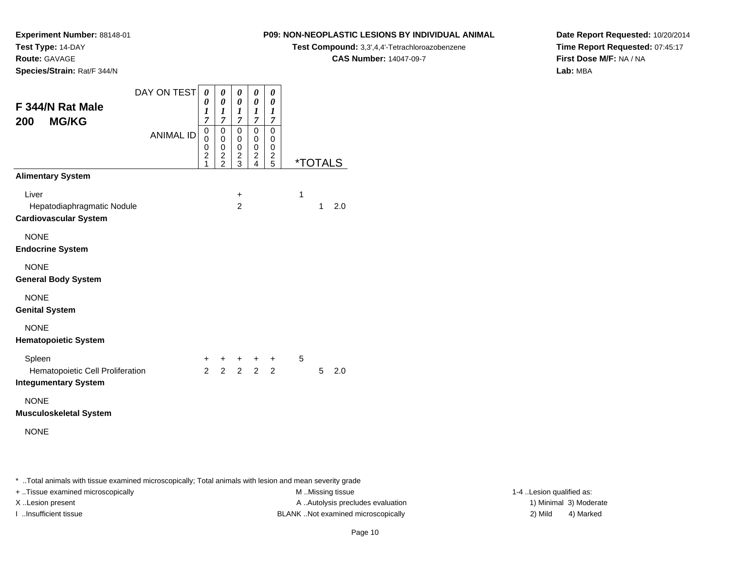**Experiment Number:** 88148-01

**Test Type:** 14-DAY**Route:** GAVAGE

**Species/Strain:** Rat/F 344/N

**P09: NON-NEOPLASTIC LESIONS BY INDIVIDUAL ANIMAL**

**Test Compound:** 3,3',4,4'-Tetrachloroazobenzene

**CAS Number:** 14047-09-7

**Date Report Requested:** 10/20/2014**Time Report Requested:** 07:45:17**First Dose M/F:** NA / NA**Lab:** MBA

| F 344/N Rat Male<br><b>MG/KG</b><br>200                                   | DAY ON TEST<br><b>ANIMAL ID</b> | 0<br>0<br>1<br>7<br>0<br>0<br>0<br>$\overline{c}$<br>1 | 0<br>0<br>1<br>7<br>0<br>0<br>0<br>$\frac{2}{2}$ | 0<br>0<br>1<br>7<br>0<br>0<br>0<br>$\frac{2}{3}$ | 0<br>0<br>1<br>7<br>0<br>0<br>0<br>$\frac{2}{4}$ | 0<br>0<br>1<br>7<br>$\mathbf 0$<br>0<br>0<br>$\frac{2}{5}$ |   | <i><b>*TOTALS</b></i> |     |
|---------------------------------------------------------------------------|---------------------------------|--------------------------------------------------------|--------------------------------------------------|--------------------------------------------------|--------------------------------------------------|------------------------------------------------------------|---|-----------------------|-----|
| <b>Alimentary System</b>                                                  |                                 |                                                        |                                                  |                                                  |                                                  |                                                            |   |                       |     |
| Liver<br>Hepatodiaphragmatic Nodule<br><b>Cardiovascular System</b>       |                                 |                                                        |                                                  | +<br>$\mathcal{P}$                               |                                                  |                                                            | 1 | $\mathbf{1}$          | 2.0 |
| <b>NONE</b><br><b>Endocrine System</b>                                    |                                 |                                                        |                                                  |                                                  |                                                  |                                                            |   |                       |     |
| <b>NONE</b><br><b>General Body System</b>                                 |                                 |                                                        |                                                  |                                                  |                                                  |                                                            |   |                       |     |
| <b>NONE</b><br><b>Genital System</b>                                      |                                 |                                                        |                                                  |                                                  |                                                  |                                                            |   |                       |     |
| <b>NONE</b><br><b>Hematopoietic System</b>                                |                                 |                                                        |                                                  |                                                  |                                                  |                                                            |   |                       |     |
| Spleen<br>Hematopoietic Cell Proliferation<br><b>Integumentary System</b> |                                 | $+$<br>$\mathcal{P}$                                   | $+$<br>$\overline{2}$                            | $+$<br>$2^{\circ}$                               | $2^{\circ}$                                      | $+$ $+$<br>$\overline{2}$                                  | 5 | 5                     | 2.0 |
| <b>NONE</b><br><b>Musculoskeletal System</b>                              |                                 |                                                        |                                                  |                                                  |                                                  |                                                            |   |                       |     |
| <b>NONE</b>                                                               |                                 |                                                        |                                                  |                                                  |                                                  |                                                            |   |                       |     |

\* ..Total animals with tissue examined microscopically; Total animals with lesion and mean severity grade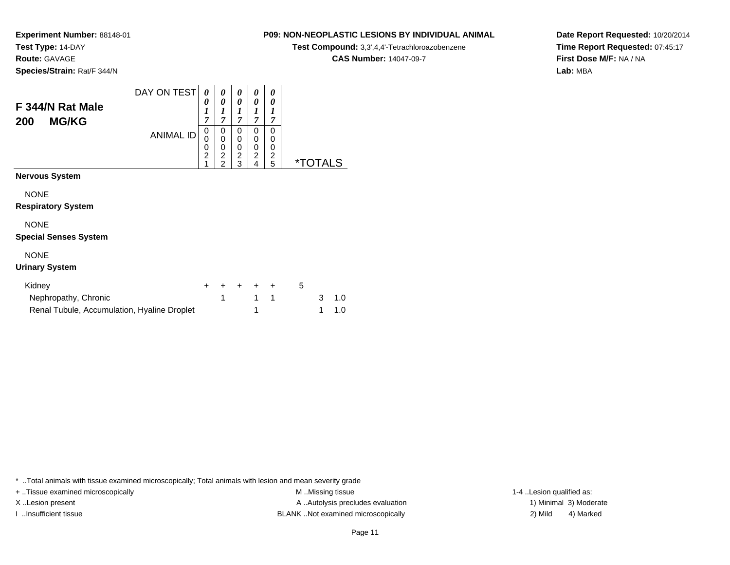**Route:** GAVAGE

**Species/Strain:** Rat/F 344/N

### **P09: NON-NEOPLASTIC LESIONS BY INDIVIDUAL ANIMAL**

**Test Compound:** 3,3',4,4'-Tetrachloroazobenzene

**CAS Number:** 14047-09-7

**Date Report Requested:** 10/20/2014**Time Report Requested:** 07:45:17**First Dose M/F:** NA / NA**Lab:** MBA

| F 344/N Rat Male<br><b>MG/KG</b><br>200                                       | DAY ON TEST      | 0<br>0<br>1<br>7              | 0<br>0<br>1<br>7                                | 0<br>0<br>1<br>7                   | 0<br>0<br>1<br>7                             | 0<br>0<br>1<br>7                            |                       |        |            |  |
|-------------------------------------------------------------------------------|------------------|-------------------------------|-------------------------------------------------|------------------------------------|----------------------------------------------|---------------------------------------------|-----------------------|--------|------------|--|
|                                                                               | <b>ANIMAL ID</b> | 0<br>0<br>0<br>$\overline{c}$ | 0<br>0<br>0<br>$\overline{c}$<br>$\overline{2}$ | 0<br>0<br>0<br>$\overline{c}$<br>3 | 0<br>0<br>$\mathbf 0$<br>$\overline{c}$<br>4 | 0<br>0<br>0<br>$\overline{\mathbf{c}}$<br>5 | <i><b>*TOTALS</b></i> |        |            |  |
| Nervous System                                                                |                  |                               |                                                 |                                    |                                              |                                             |                       |        |            |  |
| <b>NONE</b><br><b>Respiratory System</b>                                      |                  |                               |                                                 |                                    |                                              |                                             |                       |        |            |  |
| <b>NONE</b><br><b>Special Senses System</b>                                   |                  |                               |                                                 |                                    |                                              |                                             |                       |        |            |  |
| <b>NONE</b><br><b>Urinary System</b>                                          |                  |                               |                                                 |                                    |                                              |                                             |                       |        |            |  |
| Kidney<br>Nephropathy, Chronic<br>Renal Tubule, Accumulation, Hyaline Droplet |                  | $\ddot{}$                     | $\pm$<br>1                                      | $\ddot{}$                          | $+$ $-$<br>1<br>1                            | $\ddot{}$<br>$\mathbf{1}$                   | 5                     | 3<br>1 | 1.0<br>1.0 |  |

\* ..Total animals with tissue examined microscopically; Total animals with lesion and mean severity grade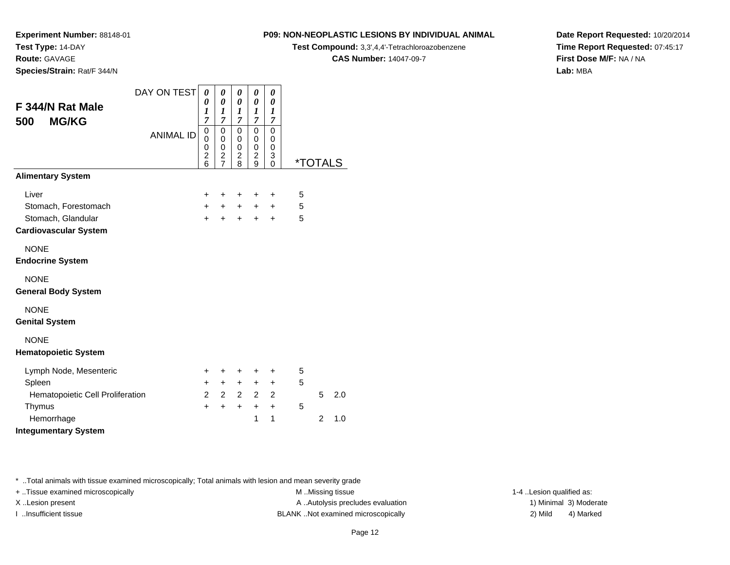**Experiment Number:** 88148-01

**Test Type:** 14-DAY**Route:** GAVAGE

**Species/Strain:** Rat/F 344/N

**P09: NON-NEOPLASTIC LESIONS BY INDIVIDUAL ANIMAL**

**Test Compound:** 3,3',4,4'-Tetrachloroazobenzene

**CAS Number:** 14047-09-7

**Date Report Requested:** 10/20/2014**Time Report Requested:** 07:45:17**First Dose M/F:** NA / NA**Lab:** MBA

| F 344/N Rat Male<br><b>MG/KG</b><br>500    | DAY ON TEST<br><b>ANIMAL ID</b> | 0<br>0<br>1<br>7<br>0<br>0<br>0<br>$\overline{2}$<br>6 | 0<br>$\boldsymbol{\theta}$<br>$\boldsymbol{l}$<br>$\overline{7}$<br>0<br>0<br>0<br>$\overline{\mathbf{c}}$<br>$\overline{7}$ | $\boldsymbol{\theta}$<br>0<br>$\boldsymbol{l}$<br>7<br>0<br>0<br>$\mathbf 0$<br>$\overline{c}$<br>8 | 0<br>0<br>$\boldsymbol{l}$<br>7<br>$\mathbf 0$<br>0<br>$\mathbf 0$<br>$\boldsymbol{2}$<br>9 | 0<br>0<br>1<br>7<br>0<br>0<br>$\mathbf 0$<br>3<br>$\Omega$ | <i><b>*TOTALS</b></i> |                |     |
|--------------------------------------------|---------------------------------|--------------------------------------------------------|------------------------------------------------------------------------------------------------------------------------------|-----------------------------------------------------------------------------------------------------|---------------------------------------------------------------------------------------------|------------------------------------------------------------|-----------------------|----------------|-----|
| <b>Alimentary System</b>                   |                                 |                                                        |                                                                                                                              |                                                                                                     |                                                                                             |                                                            |                       |                |     |
| Liver                                      |                                 | ٠                                                      | +                                                                                                                            | ÷                                                                                                   | ÷                                                                                           | ÷                                                          | 5                     |                |     |
| Stomach, Forestomach                       |                                 | +                                                      | $\ddot{}$                                                                                                                    | $\pm$                                                                                               | $\ddot{}$                                                                                   | $\ddot{}$                                                  | 5                     |                |     |
| Stomach, Glandular                         |                                 | $\ddot{}$                                              | $\ddot{}$                                                                                                                    | $\ddot{}$                                                                                           | $\ddot{}$                                                                                   | $\ddot{}$                                                  | 5                     |                |     |
| <b>Cardiovascular System</b>               |                                 |                                                        |                                                                                                                              |                                                                                                     |                                                                                             |                                                            |                       |                |     |
| <b>NONE</b><br><b>Endocrine System</b>     |                                 |                                                        |                                                                                                                              |                                                                                                     |                                                                                             |                                                            |                       |                |     |
| <b>NONE</b><br><b>General Body System</b>  |                                 |                                                        |                                                                                                                              |                                                                                                     |                                                                                             |                                                            |                       |                |     |
| <b>NONE</b><br><b>Genital System</b>       |                                 |                                                        |                                                                                                                              |                                                                                                     |                                                                                             |                                                            |                       |                |     |
| <b>NONE</b><br><b>Hematopoietic System</b> |                                 |                                                        |                                                                                                                              |                                                                                                     |                                                                                             |                                                            |                       |                |     |
| Lymph Node, Mesenteric                     |                                 | +                                                      | +                                                                                                                            | +                                                                                                   | +                                                                                           | $\ddot{}$                                                  | 5                     |                |     |
| Spleen                                     |                                 | $\pm$                                                  | $\ddot{}$                                                                                                                    | $\ddot{}$                                                                                           | $+$                                                                                         | $\ddot{}$                                                  | 5                     |                |     |
| Hematopoietic Cell Proliferation           |                                 | $\overline{2}$                                         | $\overline{2}$                                                                                                               | $\overline{2}$                                                                                      | 2                                                                                           | 2                                                          |                       | 5              | 2.0 |
| Thymus                                     |                                 | $\ddot{}$                                              | $\ddot{}$                                                                                                                    | $\ddot{}$                                                                                           | $+$                                                                                         | $+$                                                        | 5                     |                |     |
| Hemorrhage<br><b>Integumentary System</b>  |                                 |                                                        |                                                                                                                              |                                                                                                     | 1                                                                                           | 1                                                          |                       | $\overline{2}$ | 1.0 |
|                                            |                                 |                                                        |                                                                                                                              |                                                                                                     |                                                                                             |                                                            |                       |                |     |

\* ..Total animals with tissue examined microscopically; Total animals with lesion and mean severity grade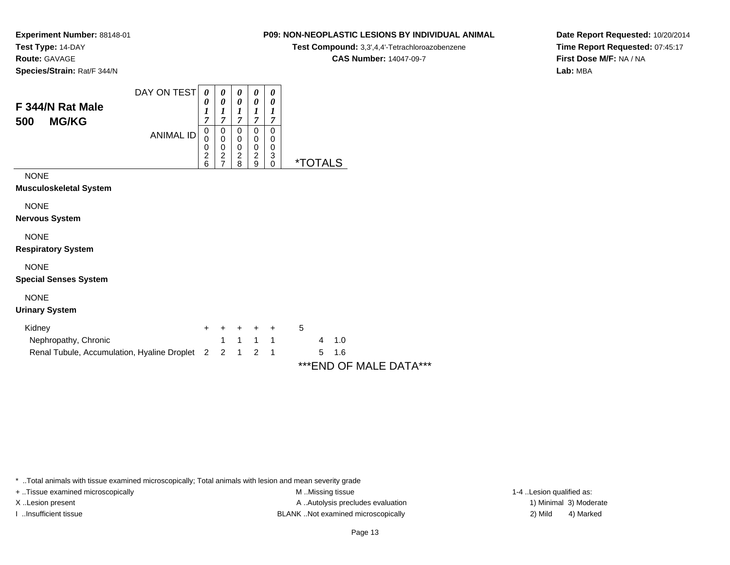**Route:** GAVAGE

**Species/Strain:** Rat/F 344/N

#### **P09: NON-NEOPLASTIC LESIONS BY INDIVIDUAL ANIMAL**

**Test Compound:** 3,3',4,4'-Tetrachloroazobenzene

**CAS Number:** 14047-09-7

**Date Report Requested:** 10/20/2014**Time Report Requested:** 07:45:17**First Dose M/F:** NA / NA**Lab:** MBA

|                     | DAY ON TEST      | 0                   | 0      | 0      | 0      | 0      |   |
|---------------------|------------------|---------------------|--------|--------|--------|--------|---|
| F 344/N Rat Male    |                  | 0<br>$\mathbf{r}$   | 0      | 0      | 0      | 0      |   |
| <b>MG/KG</b><br>500 | <b>ANIMAL ID</b> | 7                   | 7      | 7      | 7      | 7      |   |
|                     |                  | 0<br>0              | 0<br>0 | 0<br>0 | 0<br>0 | 0<br>0 |   |
|                     |                  | 0<br>$\overline{2}$ | 0<br>2 | 0<br>2 | 0<br>2 | 0<br>3 |   |
|                     |                  | 6                   |        | я      | a      |        | × |

NONE

**Musculoskeletal System**

NONE

**Nervous System**

NONE

**Respiratory System**

NONE

**Special Senses System**

#### NONE

**Urinary System**

| Kidney                                                | + + + + + |         |  |       |
|-------------------------------------------------------|-----------|---------|--|-------|
| Nephropathy, Chronic                                  |           | 1 1 1 1 |  | 4 1.0 |
| Renal Tubule, Accumulation, Hyaline Droplet 2 2 1 2 1 |           |         |  | 5 1.6 |

\*\*\*END OF MALE DATA\*\*\*

\* ..Total animals with tissue examined microscopically; Total animals with lesion and mean severity grade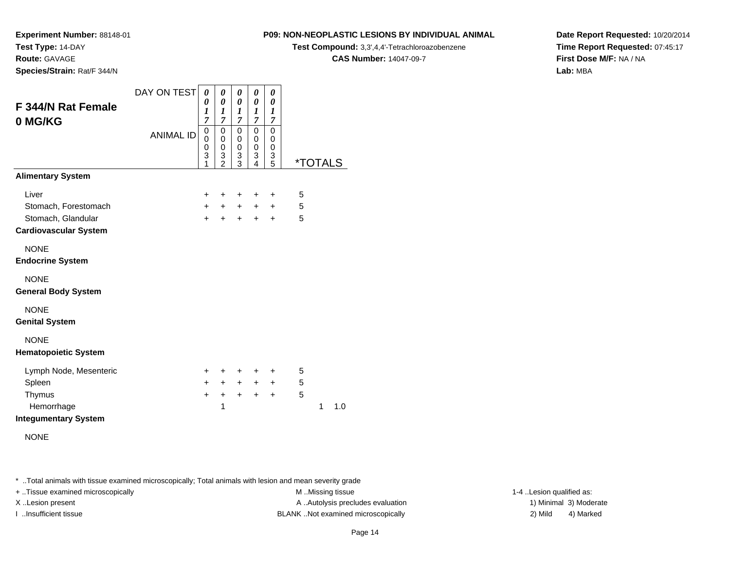**Route:** GAVAGE

**Species/Strain:** Rat/F 344/N

#### **P09: NON-NEOPLASTIC LESIONS BY INDIVIDUAL ANIMAL**

**Test Compound:** 3,3',4,4'-Tetrachloroazobenzene

**CAS Number:** 14047-09-7

**Date Report Requested:** 10/20/2014**Time Report Requested:** 07:45:17**First Dose M/F:** NA / NA**Lab:** MBA

| F 344/N Rat Female<br>0 MG/KG                      | DAY ON TEST<br><b>ANIMAL ID</b> | 0<br>0<br>1<br>$\overline{7}$<br>0<br>0<br>0<br>3<br>1 | 0<br>$\boldsymbol{\theta}$<br>$\boldsymbol{l}$<br>7<br>$\mathbf 0$<br>0<br>$\mathbf 0$<br>3<br>$\overline{2}$ | 0<br>$\boldsymbol{\theta}$<br>1<br>7<br>0<br>0<br>0<br>3<br>3 | 0<br>0<br>1<br>$\overline{7}$<br>$\mathbf 0$<br>0<br>0<br>3<br>4 | 0<br>0<br>1<br>7<br>$\mathbf 0$<br>0<br>0<br>3<br>5 | <i><b>*TOTALS</b></i> |  |
|----------------------------------------------------|---------------------------------|--------------------------------------------------------|---------------------------------------------------------------------------------------------------------------|---------------------------------------------------------------|------------------------------------------------------------------|-----------------------------------------------------|-----------------------|--|
| <b>Alimentary System</b>                           |                                 |                                                        |                                                                                                               |                                                               |                                                                  |                                                     |                       |  |
| Liver                                              |                                 | +                                                      | +                                                                                                             | $\ddot{}$                                                     | +                                                                | +                                                   | 5                     |  |
| Stomach, Forestomach                               |                                 | $\ddot{}$                                              | $\ddot{}$                                                                                                     | $+$                                                           | $+$                                                              | $\ddot{}$                                           | 5                     |  |
| Stomach, Glandular<br><b>Cardiovascular System</b> |                                 | $\ddot{}$                                              | $\ddot{}$                                                                                                     | $\ddot{}$                                                     | $\ddot{}$                                                        | $\ddot{}$                                           | 5                     |  |
| <b>NONE</b>                                        |                                 |                                                        |                                                                                                               |                                                               |                                                                  |                                                     |                       |  |
| <b>Endocrine System</b>                            |                                 |                                                        |                                                                                                               |                                                               |                                                                  |                                                     |                       |  |
| <b>NONE</b><br><b>General Body System</b>          |                                 |                                                        |                                                                                                               |                                                               |                                                                  |                                                     |                       |  |
| <b>NONE</b><br><b>Genital System</b>               |                                 |                                                        |                                                                                                               |                                                               |                                                                  |                                                     |                       |  |
| <b>NONE</b><br><b>Hematopoietic System</b>         |                                 |                                                        |                                                                                                               |                                                               |                                                                  |                                                     |                       |  |
| Lymph Node, Mesenteric                             |                                 | +                                                      | ٠                                                                                                             | +                                                             | $\ddot{}$                                                        | +                                                   | 5                     |  |
| Spleen                                             |                                 | $\ddot{}$                                              | $+$                                                                                                           | $+$                                                           | $+$                                                              | $+$                                                 | 5                     |  |
| Thymus                                             |                                 | $\ddot{}$                                              | $\ddot{}$                                                                                                     | $+$                                                           | $+$                                                              | $+$                                                 | 5                     |  |
| Hemorrhage<br><b>Integumentary System</b>          |                                 |                                                        | 1                                                                                                             |                                                               |                                                                  |                                                     | 1<br>1.0              |  |
| <b>NONE</b>                                        |                                 |                                                        |                                                                                                               |                                                               |                                                                  |                                                     |                       |  |

\* ..Total animals with tissue examined microscopically; Total animals with lesion and mean severity grade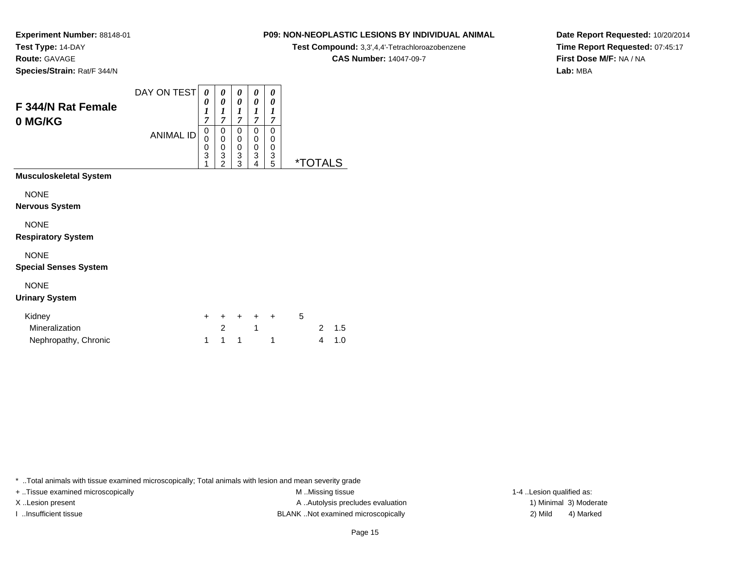**Route:** GAVAGE

**Species/Strain:** Rat/F 344/N

### **P09: NON-NEOPLASTIC LESIONS BY INDIVIDUAL ANIMAL**

**Test Compound:** 3,3',4,4'-Tetrachloroazobenzene

**CAS Number:** 14047-09-7

**Date Report Requested:** 10/20/2014**Time Report Requested:** 07:45:17**First Dose M/F:** NA / NA**Lab:** MBA

| F 344/N Rat Female            | DAY ON TEST      | 0<br>0<br>1                             | 0<br>0<br>$\boldsymbol{l}$              | 0<br>0<br>1                | 0<br>0<br>1                | 0<br>0<br>1                |          |
|-------------------------------|------------------|-----------------------------------------|-----------------------------------------|----------------------------|----------------------------|----------------------------|----------|
| 0 MG/KG                       | <b>ANIMAL ID</b> | $\overline{7}$<br>0<br>0<br>0<br>3<br>1 | 7<br>0<br>0<br>0<br>3<br>$\overline{2}$ | 7<br>0<br>0<br>0<br>3<br>3 | 7<br>0<br>0<br>0<br>3<br>4 | 7<br>0<br>0<br>0<br>3<br>5 | *TOTAL S |
| <b>Musculoskeletal System</b> |                  |                                         |                                         |                            |                            |                            |          |
| <b>NONE</b>                   |                  |                                         |                                         |                            |                            |                            |          |
| <b>Nervous System</b>         |                  |                                         |                                         |                            |                            |                            |          |
| <b>NONE</b>                   |                  |                                         |                                         |                            |                            |                            |          |
| <b>Respiratory System</b>     |                  |                                         |                                         |                            |                            |                            |          |
| <b>NONE</b>                   |                  |                                         |                                         |                            |                            |                            |          |
| <b>Special Senses System</b>  |                  |                                         |                                         |                            |                            |                            |          |

#### NONE

#### **Urinary System**

| Kidney               |       | + + + + + | . 5 |       |
|----------------------|-------|-----------|-----|-------|
| Mineralization       |       |           |     | 2 1.5 |
| Nephropathy, Chronic | 1 1 1 |           |     | 4 1.0 |

\* ..Total animals with tissue examined microscopically; Total animals with lesion and mean severity grade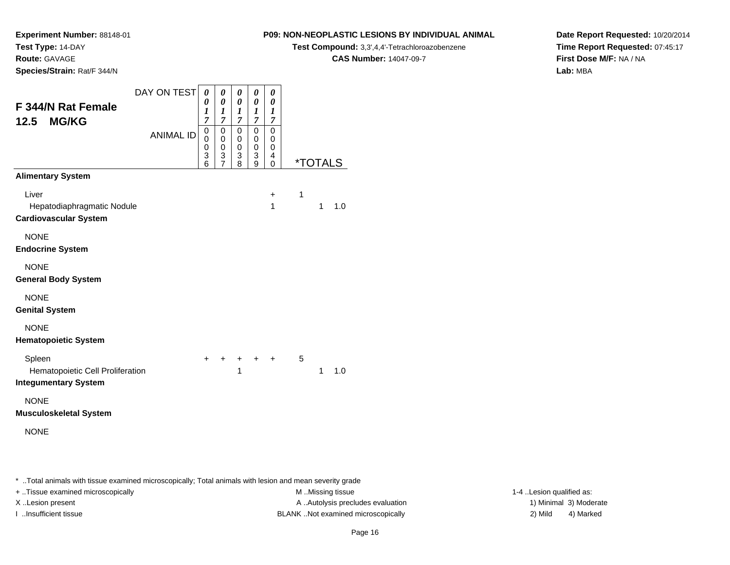**Route:** GAVAGE

**Species/Strain:** Rat/F 344/N

#### **P09: NON-NEOPLASTIC LESIONS BY INDIVIDUAL ANIMAL**

**Test Compound:** 3,3',4,4'-Tetrachloroazobenzene

**CAS Number:** 14047-09-7

**Date Report Requested:** 10/20/2014**Time Report Requested:** 07:45:17**First Dose M/F:** NA / NA**Lab:** MBA

|                                                            | DAY ON TEST      | 0                     | 0                                         | 0                                         | 0                             | 0                |   |                       |     |
|------------------------------------------------------------|------------------|-----------------------|-------------------------------------------|-------------------------------------------|-------------------------------|------------------|---|-----------------------|-----|
| F 344/N Rat Female                                         |                  | 0<br>$\boldsymbol{l}$ | $\boldsymbol{\theta}$<br>$\boldsymbol{l}$ | $\boldsymbol{\theta}$<br>$\boldsymbol{l}$ | 0<br>$\boldsymbol{l}$         | 0<br>1           |   |                       |     |
| <b>MG/KG</b><br>12.5                                       |                  | $\overline{7}$<br>0   | $\overline{7}$<br>$\mathbf 0$             | $\overline{7}$<br>$\mathbf 0$             | $\overline{7}$<br>$\mathbf 0$ | 7<br>$\mathbf 0$ |   |                       |     |
|                                                            | <b>ANIMAL ID</b> | 0                     | 0                                         | 0                                         | 0                             | 0                |   |                       |     |
|                                                            |                  | 0<br>3                | $\mathbf 0$<br>3<br>$\bar{7}$             | $\pmb{0}$<br>3                            | $\pmb{0}$<br>3                | 0<br>4           |   |                       |     |
| <b>Alimentary System</b>                                   |                  | 6                     |                                           | 8                                         | 9                             | 0                |   | <i><b>*TOTALS</b></i> |     |
| Liver                                                      |                  |                       |                                           |                                           |                               | $\ddot{}$        | 1 |                       |     |
| Hepatodiaphragmatic Nodule<br><b>Cardiovascular System</b> |                  |                       |                                           |                                           |                               | 1                |   | 1                     | 1.0 |
| <b>NONE</b><br><b>Endocrine System</b>                     |                  |                       |                                           |                                           |                               |                  |   |                       |     |
|                                                            |                  |                       |                                           |                                           |                               |                  |   |                       |     |
| <b>NONE</b><br><b>General Body System</b>                  |                  |                       |                                           |                                           |                               |                  |   |                       |     |
| <b>NONE</b><br><b>Genital System</b>                       |                  |                       |                                           |                                           |                               |                  |   |                       |     |
| <b>NONE</b>                                                |                  |                       |                                           |                                           |                               |                  |   |                       |     |
| <b>Hematopoietic System</b>                                |                  |                       |                                           |                                           |                               |                  |   |                       |     |
| Spleen<br>Hematopoietic Cell Proliferation                 |                  | $\ddot{}$             | ÷                                         | $\pm$<br>1                                | $+$                           | $\ddot{}$        | 5 | 1                     | 1.0 |
| <b>Integumentary System</b>                                |                  |                       |                                           |                                           |                               |                  |   |                       |     |
| <b>NONE</b><br><b>Musculoskeletal System</b>               |                  |                       |                                           |                                           |                               |                  |   |                       |     |
| <b>NONE</b>                                                |                  |                       |                                           |                                           |                               |                  |   |                       |     |
|                                                            |                  |                       |                                           |                                           |                               |                  |   |                       |     |
|                                                            |                  |                       |                                           |                                           |                               |                  |   |                       |     |

\* ..Total animals with tissue examined microscopically; Total animals with lesion and mean severity grade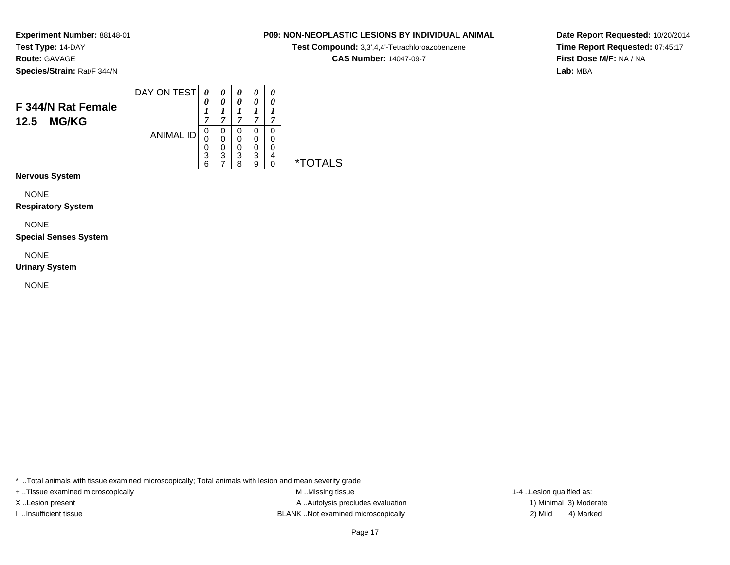**Route:** GAVAGE

**Species/Strain:** Rat/F 344/N

#### DAY ON TEST**F 344/N Rat Female12.5 MG/KG**ANIMAL ID*0 0 1 7*0<br>0<br>0<br>3<br>6<br>0<br>3 *0 0 1 7*0<br>0<br>0<br>3<br>7 *0 0 1 7*0<br>0<br>0<br>3<br>8 *0 0 1 7* 0 0 0 3 9*0 0 1 7* 0 00<br>4<br>^ 0 \*TOTALS

**Nervous System**

NONE

**Respiratory System**

NONE

**Special Senses System**

NONE

**Urinary System**

NONE

\* ..Total animals with tissue examined microscopically; Total animals with lesion and mean severity grade

+ ..Tissue examined microscopically examined microscopically examined as:  $M$  ..Missing tissue 1-4 ..Lesion qualified as: X..Lesion present **A ..Autolysis precludes evaluation** A ..Autolysis precludes evaluation 1) Minimal 3) Moderate I ..Insufficient tissue BLANK ..Not examined microscopically 2) Mild 4) Marked

**Date Report Requested:** 10/20/2014**Time Report Requested:** 07:45:17**First Dose M/F:** NA / NA**Lab:** MBA

#### **P09: NON-NEOPLASTIC LESIONS BY INDIVIDUAL ANIMAL**

**Test Compound:** 3,3',4,4'-Tetrachloroazobenzene

**CAS Number:** 14047-09-7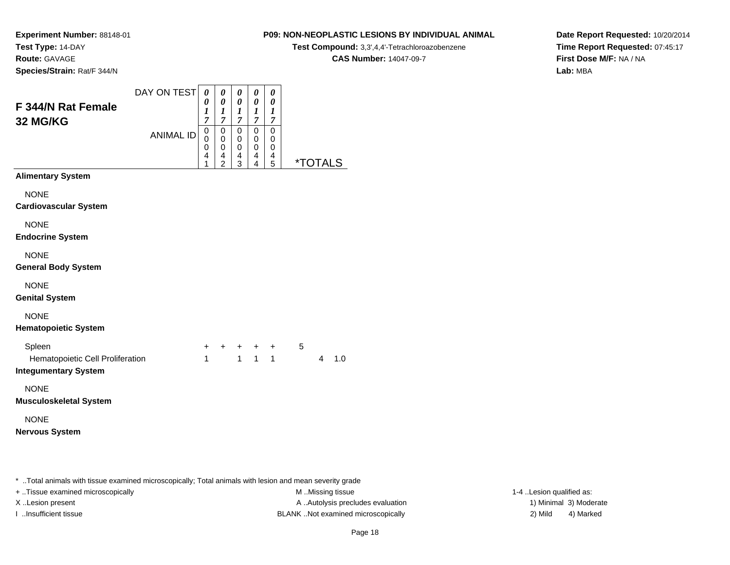## **Route:** GAVAGE

**Species/Strain:** Rat/F 344/N

### **P09: NON-NEOPLASTIC LESIONS BY INDIVIDUAL ANIMAL**

**Test Compound:** 3,3',4,4'-Tetrachloroazobenzene

**CAS Number:** 14047-09-7

**Date Report Requested:** 10/20/2014**Time Report Requested:** 07:45:17**First Dose M/F:** NA / NA**Lab:** MBA

| F 344/N Rat Female<br>32 MG/KG              | DAY ON TEST<br><b>ANIMAL ID</b> | 0<br>0<br>1<br>7<br>0<br>$\mathbf 0$<br>0<br>4<br>1 | 0<br>0<br>1<br>7<br>0<br>0<br>0<br>4<br>$\overline{2}$ | 0<br>0<br>$\boldsymbol{l}$<br>7<br>0<br>0<br>0<br>4<br>3 | 0<br>0<br>$\boldsymbol{l}$<br>$\overline{7}$<br>0<br>0<br>$\Omega$<br>4<br>4 | 0<br>0<br>1<br>7<br>0<br>0<br>0<br>4<br>5 | <i><b>*TOTALS</b></i> |
|---------------------------------------------|---------------------------------|-----------------------------------------------------|--------------------------------------------------------|----------------------------------------------------------|------------------------------------------------------------------------------|-------------------------------------------|-----------------------|
| <b>Alimentary System</b>                    |                                 |                                                     |                                                        |                                                          |                                                                              |                                           |                       |
| <b>NONE</b><br><b>Cardiovascular System</b> |                                 |                                                     |                                                        |                                                          |                                                                              |                                           |                       |
| <b>NONE</b><br><b>Endocrine System</b>      |                                 |                                                     |                                                        |                                                          |                                                                              |                                           |                       |
| <b>NONE</b><br><b>General Body System</b>   |                                 |                                                     |                                                        |                                                          |                                                                              |                                           |                       |
| <b>NONE</b><br><b>Genital System</b>        |                                 |                                                     |                                                        |                                                          |                                                                              |                                           |                       |
| <b>NONE</b><br><b>Hematopoietic System</b>  |                                 |                                                     |                                                        |                                                          |                                                                              |                                           |                       |
| Spleen                                      |                                 | $\ddot{}$                                           | $\ddot{}$                                              | $\pm$                                                    | $\ddot{}$                                                                    | $\ddot{}$                                 | 5                     |

| Spleen                           |  | $+$ $+$ $+$ $+$ $+$ |  |       |
|----------------------------------|--|---------------------|--|-------|
| Hematopoietic Cell Proliferation |  |                     |  | 4 1.0 |
| Integumentary System             |  |                     |  |       |

#### NONE

**Musculoskeletal System**

# NONE

**Nervous System**

\* ..Total animals with tissue examined microscopically; Total animals with lesion and mean severity grade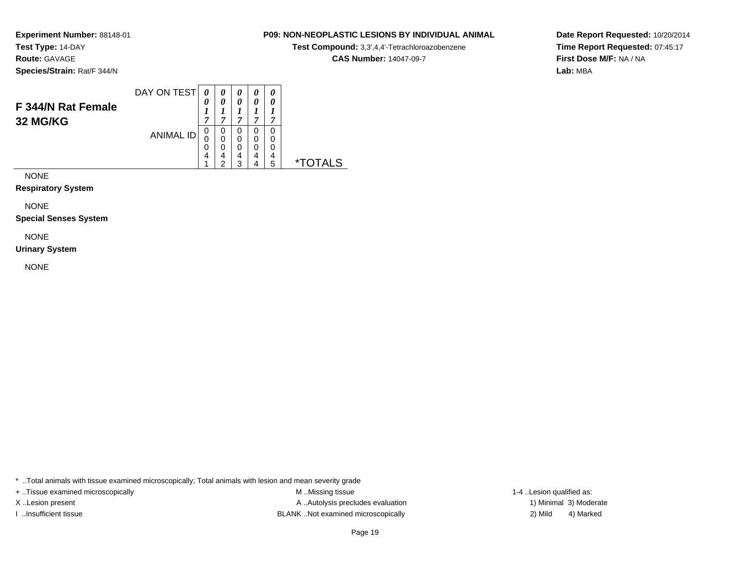**Route:** GAVAGE

**Species/Strain:** Rat/F 344/N

#### DAY ON TEST**F 344/N Rat Female32 MG/KG**ANIMAL ID*0 0 1 7*0<br>0<br>0<br>4 1*0 0 1 7*0<br>0<br>0<br>4<br>2 *0 0 1 7* 0 0 0 4 3*0 0 1 7* 0 0 0 4 4*0 0 1 7* 0 00<br>4<br>5 5 \*TOTALS

NONE

**Respiratory System**

NONE

**Special Senses System**

NONE

**Urinary System**

NONE

\* ..Total animals with tissue examined microscopically; Total animals with lesion and mean severity grade

+ ..Tissue examined microscopically examined microscopically examined as:  $M$  ..Missing tissue 1-4 ..Lesion qualified as: X..Lesion present **A ..Autolysis precludes evaluation** A ..Autolysis precludes evaluation 1) Minimal 3) Moderate I ..Insufficient tissue BLANK ..Not examined microscopically 2) Mild 4) Marked

#### Page 19

**Date Report Requested:** 10/20/2014**Time Report Requested:** 07:45:17**First Dose M/F:** NA / NA**Lab:** MBA

#### **P09: NON-NEOPLASTIC LESIONS BY INDIVIDUAL ANIMAL**

**Test Compound:** 3,3',4,4'-Tetrachloroazobenzene

**CAS Number:** 14047-09-7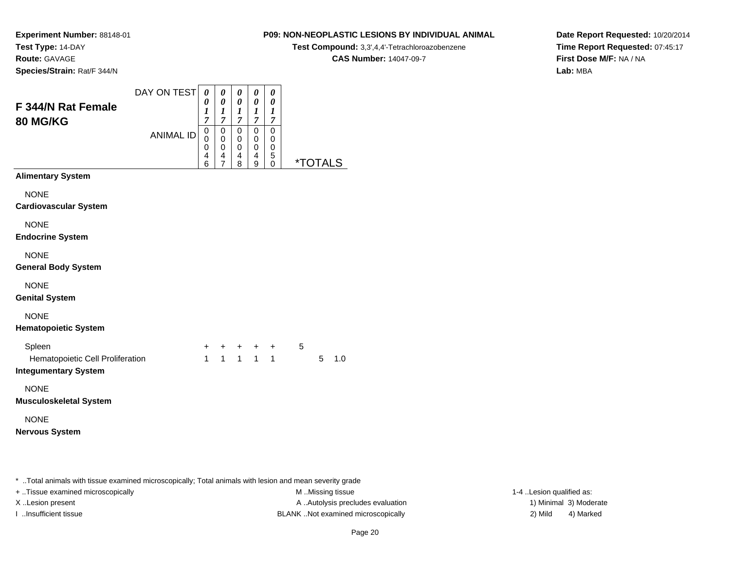**Route:** GAVAGE

**Species/Strain:** Rat/F 344/N

#### **P09: NON-NEOPLASTIC LESIONS BY INDIVIDUAL ANIMAL**

**Test Compound:** 3,3',4,4'-Tetrachloroazobenzene

**CAS Number:** 14047-09-7

**Date Report Requested:** 10/20/2014**Time Report Requested:** 07:45:17**First Dose M/F:** NA / NA**Lab:** MBA

| <b>F 344/N Rat Female</b><br><b>80 MG/KG</b>                                                        | DAY ON TEST      | 0<br>0<br>$\boldsymbol{l}$<br>$\overline{7}$ | 0<br>$\boldsymbol{\theta}$<br>$\boldsymbol{l}$<br>$\overline{7}$ | 0<br>0<br>1<br>$\overline{7}$   | 0<br>0<br>$\boldsymbol{l}$<br>$\overline{7}$ | 0<br>0<br>1<br>$\overline{7}$   |   |                       |     |
|-----------------------------------------------------------------------------------------------------|------------------|----------------------------------------------|------------------------------------------------------------------|---------------------------------|----------------------------------------------|---------------------------------|---|-----------------------|-----|
|                                                                                                     | <b>ANIMAL ID</b> | 0<br>0<br>0<br>4<br>6                        | $\mathbf 0$<br>$\mathbf 0$<br>0<br>4<br>$\overline{7}$           | $\mathbf 0$<br>0<br>0<br>4<br>8 | $\mathbf 0$<br>0<br>0<br>4<br>9              | $\mathbf 0$<br>0<br>0<br>5<br>0 |   | <i><b>*TOTALS</b></i> |     |
| <b>Alimentary System</b>                                                                            |                  |                                              |                                                                  |                                 |                                              |                                 |   |                       |     |
| <b>NONE</b><br><b>Cardiovascular System</b>                                                         |                  |                                              |                                                                  |                                 |                                              |                                 |   |                       |     |
| <b>NONE</b><br><b>Endocrine System</b>                                                              |                  |                                              |                                                                  |                                 |                                              |                                 |   |                       |     |
| <b>NONE</b><br><b>General Body System</b>                                                           |                  |                                              |                                                                  |                                 |                                              |                                 |   |                       |     |
| <b>NONE</b><br><b>Genital System</b>                                                                |                  |                                              |                                                                  |                                 |                                              |                                 |   |                       |     |
| <b>NONE</b><br><b>Hematopoietic System</b>                                                          |                  |                                              |                                                                  |                                 |                                              |                                 |   |                       |     |
| Spleen<br>Hematopoietic Cell Proliferation<br><b>Integumentary System</b>                           |                  | +<br>$\mathbf{1}$                            | $\ddot{}$<br>$\mathbf{1}$                                        |                                 | $1 \quad 1$                                  | + + +<br>$\mathbf{1}$           | 5 | 5                     | 1.0 |
| <b>NONE</b><br><b>Musculoskeletal System</b>                                                        |                  |                                              |                                                                  |                                 |                                              |                                 |   |                       |     |
| <b>NONE</b><br><b>Nervous System</b>                                                                |                  |                                              |                                                                  |                                 |                                              |                                 |   |                       |     |
| Total animals with tissue examined microscopically: Total animals with lesion and mean severity gra |                  |                                              |                                                                  |                                 |                                              |                                 |   |                       |     |

..Total animals with tissue examined microscopically; Total animals with lesion and mean severity grade

+ ..Tissue examined microscopically examined microscopically examined as:  $M$  ..Missing tissue 1-4 ..Lesion qualified as:

X..Lesion present **A ..Autolysis precludes evaluation** A ..Autolysis precludes evaluation 1) Minimal 3) Moderate I ..Insufficient tissue BLANK ..Not examined microscopically 2) Mild 4) Marked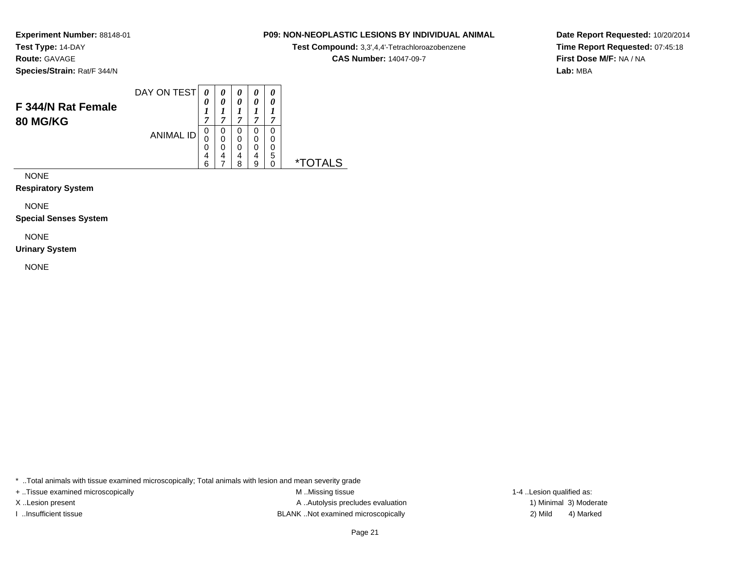**Route:** GAVAGE

**Species/Strain:** Rat/F 344/N

#### **P09: NON-NEOPLASTIC LESIONS BY INDIVIDUAL ANIMAL**

**Test Compound:** 3,3',4,4'-Tetrachloroazobenzene

**CAS Number:** 14047-09-7

 $\overline{\phantom{0}}$ 

**Date Report Requested:** 10/20/2014**Time Report Requested:** 07:45:18**First Dose M/F:** NA / NA**Lab:** MBA

|                                       | DAY ON TEST      | 0           |   | 0           | $\boldsymbol{\theta}$ |   |   |  |
|---------------------------------------|------------------|-------------|---|-------------|-----------------------|---|---|--|
| F 344/N Rat Female<br><b>80 MG/KG</b> |                  | 0<br>7      | − | 0<br>A      | ,                     | ~ |   |  |
|                                       | <b>ANIMAL ID</b> | 0<br>0<br>0 | 0 | 0<br>0<br>0 |                       |   |   |  |
|                                       |                  | 4<br>6      | 4 | 4<br>я      | 4                     | 5 | × |  |

NONE

**Respiratory System**

NONE

**Special Senses System**

NONE

**Urinary System**

NONE

\* ..Total animals with tissue examined microscopically; Total animals with lesion and mean severity grade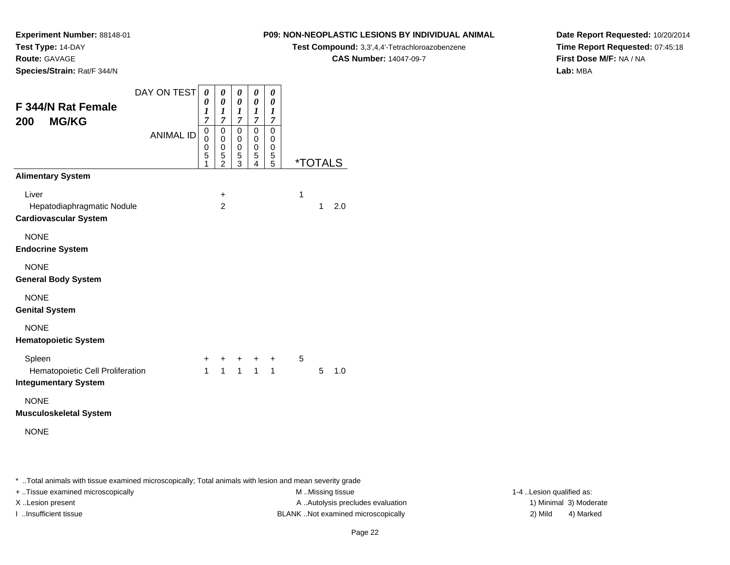**Experiment Number:** 88148-01

**Test Type:** 14-DAY**Route:** GAVAGE

**Species/Strain:** Rat/F 344/N

#### **P09: NON-NEOPLASTIC LESIONS BY INDIVIDUAL ANIMAL**

**Test Compound:** 3,3',4,4'-Tetrachloroazobenzene

**CAS Number:** 14047-09-7

**Date Report Requested:** 10/20/2014**Time Report Requested:** 07:45:18**First Dose M/F:** NA / NA**Lab:** MBA

|                                                                 | DAY ON TEST      | 0                   | 0                   | 0                           | 0                | 0                     |              |                       |     |
|-----------------------------------------------------------------|------------------|---------------------|---------------------|-----------------------------|------------------|-----------------------|--------------|-----------------------|-----|
| F 344/N Rat Female                                              |                  | 0<br>1              | 0<br>1              | $\pmb{\theta}$<br>1         | 0<br>1           | 0<br>$\boldsymbol{l}$ |              |                       |     |
| 200<br><b>MG/KG</b>                                             |                  | $\overline{7}$<br>0 | 7<br>0              | $\overline{7}$<br>$\pmb{0}$ | 7<br>$\mathbf 0$ | 7<br>0                |              |                       |     |
|                                                                 | <b>ANIMAL ID</b> | 0<br>0              | 0<br>0              | 0<br>0                      | 0<br>0           | 0<br>0                |              |                       |     |
|                                                                 |                  | 5<br>1              | 5<br>$\overline{2}$ | 5<br>3                      | 5<br>4           | 5<br>5                |              | <i><b>*TOTALS</b></i> |     |
| <b>Alimentary System</b>                                        |                  |                     |                     |                             |                  |                       |              |                       |     |
| Liver<br>Hepatodiaphragmatic Nodule                             |                  |                     | +<br>$\overline{2}$ |                             |                  |                       | $\mathbf{1}$ | 1                     | 2.0 |
| <b>Cardiovascular System</b>                                    |                  |                     |                     |                             |                  |                       |              |                       |     |
| <b>NONE</b><br><b>Endocrine System</b>                          |                  |                     |                     |                             |                  |                       |              |                       |     |
| <b>NONE</b>                                                     |                  |                     |                     |                             |                  |                       |              |                       |     |
| <b>General Body System</b>                                      |                  |                     |                     |                             |                  |                       |              |                       |     |
| <b>NONE</b>                                                     |                  |                     |                     |                             |                  |                       |              |                       |     |
| <b>Genital System</b>                                           |                  |                     |                     |                             |                  |                       |              |                       |     |
| <b>NONE</b>                                                     |                  |                     |                     |                             |                  |                       |              |                       |     |
| <b>Hematopoietic System</b>                                     |                  |                     |                     |                             |                  |                       |              |                       |     |
| Spleen                                                          |                  | $\ddot{}$           | ٠                   | $\ddot{}$                   | +                | $\ddot{}$             | 5            |                       |     |
| Hematopoietic Cell Proliferation<br><b>Integumentary System</b> |                  | $\mathbf{1}$        | $\mathbf{1}$        | $\mathbf{1}$                | $\mathbf{1}$     | $\mathbf{1}$          |              | 5                     | 1.0 |
| <b>NONE</b>                                                     |                  |                     |                     |                             |                  |                       |              |                       |     |
| <b>Musculoskeletal System</b>                                   |                  |                     |                     |                             |                  |                       |              |                       |     |
| <b>NONE</b>                                                     |                  |                     |                     |                             |                  |                       |              |                       |     |
|                                                                 |                  |                     |                     |                             |                  |                       |              |                       |     |
|                                                                 |                  |                     |                     |                             |                  |                       |              |                       |     |

\* ..Total animals with tissue examined microscopically; Total animals with lesion and mean severity grade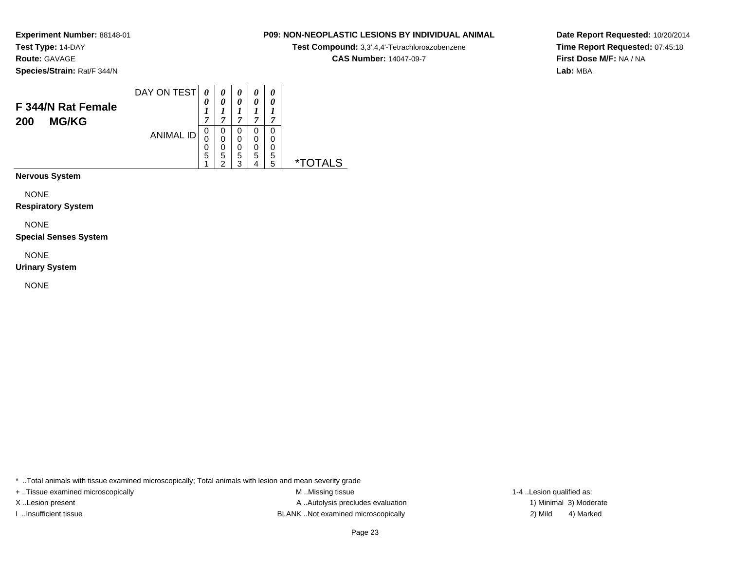**Route:** GAVAGE

**Species/Strain:** Rat/F 344/N

#### DAY ON TEST**F 344/N Rat Female200 MG/KG**ANIMAL ID*0 0 1 7*0<br>0<br>0<br>5<br>1 *0 0 1 7*0<br>0<br>0<br>5<br>2 *0 0 1 7* 0 0 0 5 3*0 0 1 7* 0 0 0 5 4*0 0 1 7* 0 0 0 5 5 \*TOTALS

**Nervous System**

NONE

**Respiratory System**

NONE

**Special Senses System**

NONE

**Urinary System**

NONE

\* ..Total animals with tissue examined microscopically; Total animals with lesion and mean severity grade

+ ..Tissue examined microscopically examined microscopically examined as:  $M$  ..Missing tissue 1-4 ..Lesion qualified as: X..Lesion present **A ..Autolysis precludes evaluation** A ..Autolysis precludes evaluation 1) Minimal 3) Moderate I ..Insufficient tissue BLANK ..Not examined microscopically 2) Mild 4) Marked

**Date Report Requested:** 10/20/2014**Time Report Requested:** 07:45:18**First Dose M/F:** NA / NA**Lab:** MBA

### **P09: NON-NEOPLASTIC LESIONS BY INDIVIDUAL ANIMAL**

**Test Compound:** 3,3',4,4'-Tetrachloroazobenzene

**CAS Number:** 14047-09-7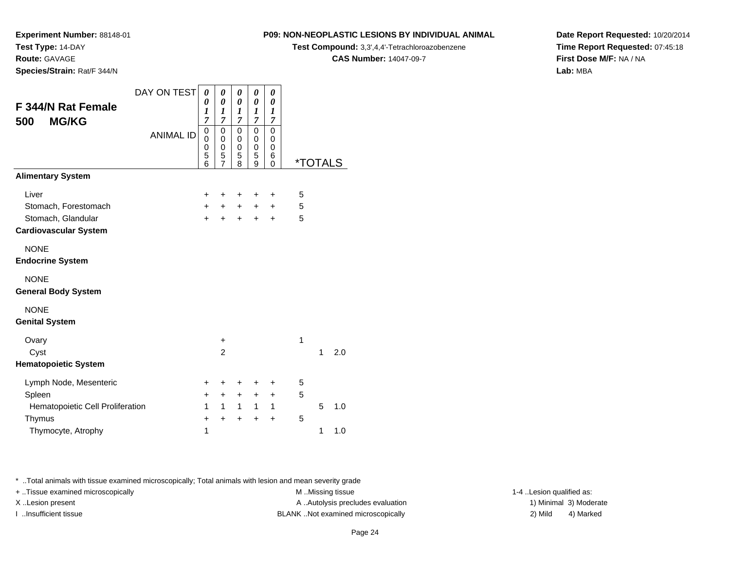**Route:** GAVAGE

**Species/Strain:** Rat/F 344/N

#### **P09: NON-NEOPLASTIC LESIONS BY INDIVIDUAL ANIMAL**

**Test Compound:** 3,3',4,4'-Tetrachloroazobenzene

**CAS Number:** 14047-09-7

**Date Report Requested:** 10/20/2014**Time Report Requested:** 07:45:18**First Dose M/F:** NA / NA**Lab:** MBA

|                                  | DAY ON TEST      | 0         | 0                | 0                     | 0                   | 0         |                       |   |     |
|----------------------------------|------------------|-----------|------------------|-----------------------|---------------------|-----------|-----------------------|---|-----|
| F 344/N Rat Female               |                  | 0<br>1    | 0<br>1           | 0<br>$\boldsymbol{l}$ | 0<br>1              | 0<br>1    |                       |   |     |
| <b>MG/KG</b><br>500              |                  | 7         | 7<br>$\mathsf 0$ | 7<br>0                | $\overline{7}$<br>0 | 7<br>0    |                       |   |     |
|                                  | <b>ANIMAL ID</b> | 0<br>0    | 0                | 0                     | 0                   | 0         |                       |   |     |
|                                  |                  | 0<br>5    | 0<br>5           | $\mathbf 0$<br>5      | 0<br>5              | 0<br>6    |                       |   |     |
|                                  |                  | 6         | $\overline{7}$   | 8                     | 9                   | 0         | <i><b>*TOTALS</b></i> |   |     |
| <b>Alimentary System</b>         |                  |           |                  |                       |                     |           |                       |   |     |
| Liver                            |                  | +         | +                | +                     | +                   | $\ddot{}$ | 5                     |   |     |
| Stomach, Forestomach             |                  | $\ddot{}$ | $\ddot{}$        | $\ddot{}$             | $+$                 | $\ddot{}$ | 5                     |   |     |
| Stomach, Glandular               |                  | $\ddot{}$ | $\ddot{}$        | $\ddot{}$             | $\ddot{}$           | $\ddot{}$ | 5                     |   |     |
| <b>Cardiovascular System</b>     |                  |           |                  |                       |                     |           |                       |   |     |
| <b>NONE</b>                      |                  |           |                  |                       |                     |           |                       |   |     |
| <b>Endocrine System</b>          |                  |           |                  |                       |                     |           |                       |   |     |
| <b>NONE</b>                      |                  |           |                  |                       |                     |           |                       |   |     |
| <b>General Body System</b>       |                  |           |                  |                       |                     |           |                       |   |     |
| <b>NONE</b>                      |                  |           |                  |                       |                     |           |                       |   |     |
| <b>Genital System</b>            |                  |           |                  |                       |                     |           |                       |   |     |
| Ovary                            |                  |           | +                |                       |                     |           | 1                     |   |     |
| Cyst                             |                  |           | $\overline{2}$   |                       |                     |           |                       | 1 | 2.0 |
| <b>Hematopoietic System</b>      |                  |           |                  |                       |                     |           |                       |   |     |
| Lymph Node, Mesenteric           |                  | +         | +                | +                     | +                   | +         | 5                     |   |     |
| Spleen                           |                  | $\ddot{}$ | $\ddot{}$        | $\ddot{}$             | +                   | +         | 5                     |   |     |
| Hematopoietic Cell Proliferation |                  | 1         | 1                | $\mathbf{1}$          | $\mathbf{1}$        | 1         |                       | 5 | 1.0 |
| Thymus                           |                  | $\pm$     | +                | $\ddot{}$             | $\ddot{}$           | $\ddot{}$ | 5                     |   |     |
| Thymocyte, Atrophy               |                  | 1         |                  |                       |                     |           |                       | 1 | 1.0 |

\* ..Total animals with tissue examined microscopically; Total animals with lesion and mean severity grade